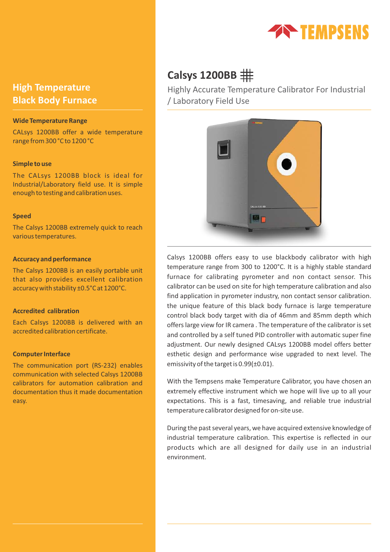

## **High Temperature Black Body Furnace**

### **Wide Temperature Range**

CALsys 1200BB offer a wide temperature range from 300 °C to 1200 °C

### **Simple to use**

The CALsys 1200BB block is ideal for Industrial/Laboratory field use. It is simple enough to testing and calibration uses.

### **Speed**

The Calsys 1200BB extremely quick to reach various temperatures.

### **Accuracy and performance**

The Calsys 1200BB is an easily portable unit that also provides excellent calibration accuracy with stability ±0.5°C at 1200°C.

### **Accredited calibration**

Each Calsys 1200BB is delivered with an accredited calibration certificate.

### **Computer Interface**

The communication port (RS-232) enables communication with selected Calsys 1200BB calibrators for automation calibration and documentation thus it made documentation easy.

# **Calsys 1200BB**

Highly Accurate Temperature Calibrator For Industrial / Laboratory Field Use



Calsys 1200BB offers easy to use blackbody calibrator with high temperature range from 300 to 1200°C. It is a highly stable standard furnace for calibrating pyrometer and non contact sensor. This calibrator can be used on site for high temperature calibration and also find application in pyrometer industry, non contact sensor calibration. the unique feature of this black body furnace is large temperature control black body target with dia of 46mm and 85mm depth which offers large view for IR camera . The temperature of the calibrator is set and controlled by a self tuned PID controller with automatic super fine adjustment. Our newly designed CALsys 1200BB model offers better esthetic design and performance wise upgraded to next level. The emissivity of the target is 0.99(±0.01).

With the Tempsens make Temperature Calibrator, you have chosen an extremely effective instrument which we hope will live up to all your expectations. This is a fast, timesaving, and reliable true industrial temperature calibrator designed for on-site use.

During the past several years, we have acquired extensive knowledge of industrial temperature calibration. This expertise is reflected in our products which are all designed for daily use in an industrial environment.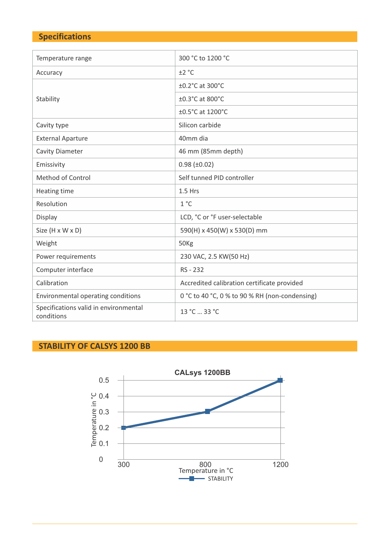# **Specifications**

| Temperature range                                   | 300 °C to 1200 °C                                            |  |  |  |  |
|-----------------------------------------------------|--------------------------------------------------------------|--|--|--|--|
| Accuracy                                            | ±2 °C                                                        |  |  |  |  |
|                                                     | ±0.2°C at 300°C                                              |  |  |  |  |
| Stability                                           | ±0.3°C at 800°C                                              |  |  |  |  |
|                                                     | ±0.5°C at 1200°C                                             |  |  |  |  |
| Cavity type                                         | Silicon carbide                                              |  |  |  |  |
| <b>External Aparture</b>                            | 40mm dia                                                     |  |  |  |  |
| <b>Cavity Diameter</b>                              | 46 mm (85mm depth)                                           |  |  |  |  |
| Emissivity                                          | $0.98 \ (\pm 0.02)$                                          |  |  |  |  |
| Method of Control                                   | Self tunned PID controller<br>$1.5$ Hrs                      |  |  |  |  |
| Heating time                                        |                                                              |  |  |  |  |
| Resolution                                          | $1^{\circ}$ C                                                |  |  |  |  |
| Display                                             | LCD, °C or °F user-selectable<br>590(H) x 450(W) x 530(D) mm |  |  |  |  |
| Size (H x W x D)                                    |                                                              |  |  |  |  |
| Weight                                              | 50Kg                                                         |  |  |  |  |
| Power requirements                                  | 230 VAC, 2.5 KW(50 Hz)                                       |  |  |  |  |
| Computer interface                                  | RS - 232                                                     |  |  |  |  |
| Calibration                                         | Accredited calibration certificate provided                  |  |  |  |  |
| Environmental operating conditions                  | 0 °C to 40 °C, 0 % to 90 % RH (non-condensing)               |  |  |  |  |
| Specifications valid in environmental<br>conditions | 13 °C  33 °C                                                 |  |  |  |  |

# **STABILITY OF CALSYS 1200 BB**